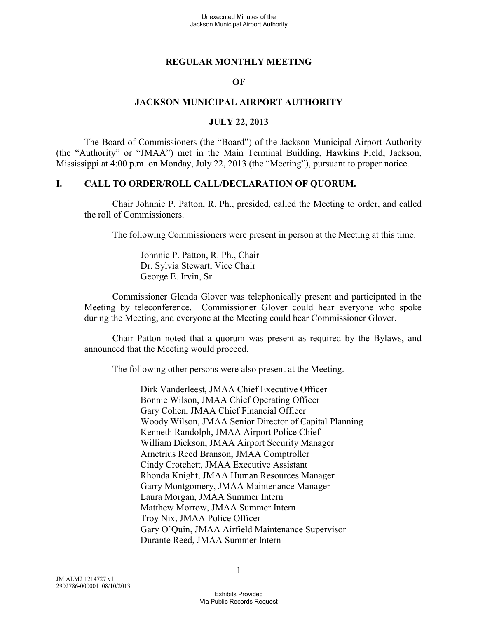#### **REGULAR MONTHLY MEETING**

#### **OF**

#### **JACKSON MUNICIPAL AIRPORT AUTHORITY**

#### **JULY 22, 2013**

The Board of Commissioners (the "Board") of the Jackson Municipal Airport Authority (the "Authority" or "JMAA") met in the Main Terminal Building, Hawkins Field, Jackson, Mississippi at 4:00 p.m. on Monday, July 22, 2013 (the "Meeting"), pursuant to proper notice.

#### **I. CALL TO ORDER/ROLL CALL/DECLARATION OF QUORUM.**

Chair Johnnie P. Patton, R. Ph., presided, called the Meeting to order, and called the roll of Commissioners.

The following Commissioners were present in person at the Meeting at this time.

Johnnie P. Patton, R. Ph., Chair Dr. Sylvia Stewart, Vice Chair George E. Irvin, Sr.

Commissioner Glenda Glover was telephonically present and participated in the Meeting by teleconference. Commissioner Glover could hear everyone who spoke during the Meeting, and everyone at the Meeting could hear Commissioner Glover.

Chair Patton noted that a quorum was present as required by the Bylaws, and announced that the Meeting would proceed.

The following other persons were also present at the Meeting.

Dirk Vanderleest, JMAA Chief Executive Officer Bonnie Wilson, JMAA Chief Operating Officer Gary Cohen, JMAA Chief Financial Officer Woody Wilson, JMAA Senior Director of Capital Planning Kenneth Randolph, JMAA Airport Police Chief William Dickson, JMAA Airport Security Manager Arnetrius Reed Branson, JMAA Comptroller Cindy Crotchett, JMAA Executive Assistant Rhonda Knight, JMAA Human Resources Manager Garry Montgomery, JMAA Maintenance Manager Laura Morgan, JMAA Summer Intern Matthew Morrow, JMAA Summer Intern Troy Nix, JMAA Police Officer Gary O'Quin, JMAA Airfield Maintenance Supervisor Durante Reed, JMAA Summer Intern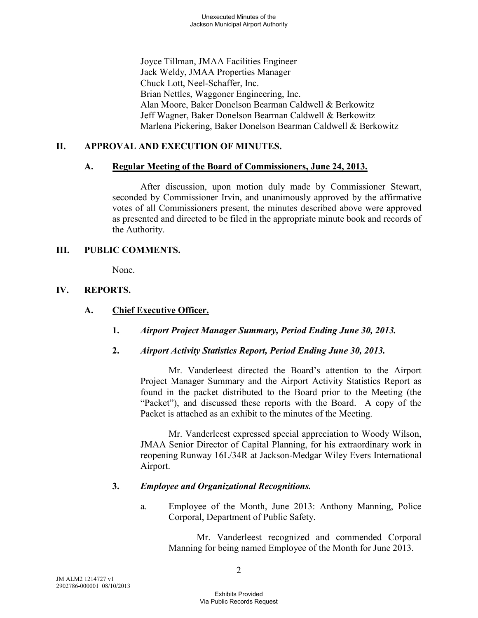Joyce Tillman, JMAA Facilities Engineer Jack Weldy, JMAA Properties Manager Chuck Lott, Neel-Schaffer, Inc. Brian Nettles, Waggoner Engineering, Inc. Alan Moore, Baker Donelson Bearman Caldwell & Berkowitz Jeff Wagner, Baker Donelson Bearman Caldwell & Berkowitz Marlena Pickering, Baker Donelson Bearman Caldwell & Berkowitz

## **II. APPROVAL AND EXECUTION OF MINUTES.**

#### **A. Regular Meeting of the Board of Commissioners, June 24, 2013.**

After discussion, upon motion duly made by Commissioner Stewart, seconded by Commissioner Irvin, and unanimously approved by the affirmative votes of all Commissioners present, the minutes described above were approved as presented and directed to be filed in the appropriate minute book and records of the Authority.

#### **III. PUBLIC COMMENTS.**

None.

## **IV. REPORTS.**

### **A. Chief Executive Officer.**

- **1.** *Airport Project Manager Summary, Period Ending June 30, 2013.*
- **2.** *Airport Activity Statistics Report, Period Ending June 30, 2013.*

Mr. Vanderleest directed the Board's attention to the Airport Project Manager Summary and the Airport Activity Statistics Report as found in the packet distributed to the Board prior to the Meeting (the "Packet"), and discussed these reports with the Board. A copy of the Packet is attached as an exhibit to the minutes of the Meeting.

Mr. Vanderleest expressed special appreciation to Woody Wilson, JMAA Senior Director of Capital Planning, for his extraordinary work in reopening Runway 16L/34R at Jackson-Medgar Wiley Evers International Airport.

## **3.** *Employee and Organizational Recognitions.*

a. Employee of the Month, June 2013: Anthony Manning, Police Corporal, Department of Public Safety.

> Mr. Vanderleest recognized and commended Corporal Manning for being named Employee of the Month for June 2013.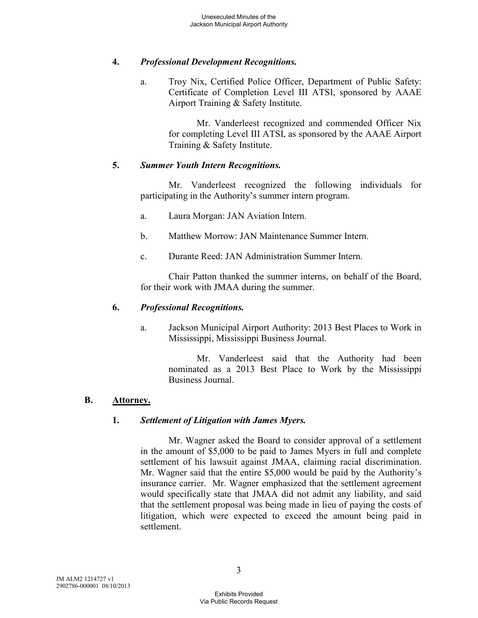## **4.** *Professional Development Recognitions.*

a. Troy Nix, Certified Police Officer, Department of Public Safety: Certificate of Completion Level III ATSI, sponsored by AAAE Airport Training & Safety Institute.

> Mr. Vanderleest recognized and commended Officer Nix for completing Level III ATSI, as sponsored by the AAAE Airport Training & Safety Institute.

## **5.** *Summer Youth Intern Recognitions.*

Mr. Vanderleest recognized the following individuals for participating in the Authority's summer intern program.

- a. Laura Morgan: JAN Aviation Intern.
- b. Matthew Morrow: JAN Maintenance Summer Intern.
- c. Durante Reed: JAN Administration Summer Intern.

Chair Patton thanked the summer interns, on behalf of the Board, for their work with JMAA during the summer.

## **6.** *Professional Recognitions.*

a. Jackson Municipal Airport Authority: 2013 Best Places to Work in Mississippi, Mississippi Business Journal.

> Mr. Vanderleest said that the Authority had been nominated as a 2013 Best Place to Work by the Mississippi Business Journal.

## **B. Attorney.**

## **1.** *Settlement of Litigation with James Myers.*

Mr. Wagner asked the Board to consider approval of a settlement in the amount of \$5,000 to be paid to James Myers in full and complete settlement of his lawsuit against JMAA, claiming racial discrimination. Mr. Wagner said that the entire \$5,000 would be paid by the Authority's insurance carrier. Mr. Wagner emphasized that the settlement agreement would specifically state that JMAA did not admit any liability, and said that the settlement proposal was being made in lieu of paying the costs of litigation, which were expected to exceed the amount being paid in settlement.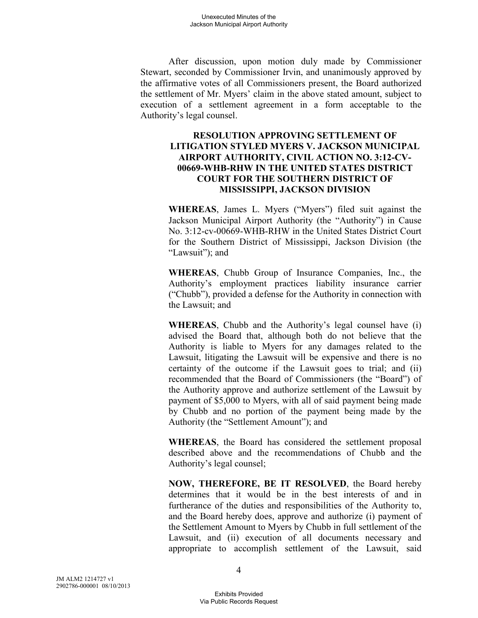After discussion, upon motion duly made by Commissioner Stewart, seconded by Commissioner Irvin, and unanimously approved by the affirmative votes of all Commissioners present, the Board authorized the settlement of Mr. Myers' claim in the above stated amount, subject to execution of a settlement agreement in a form acceptable to the Authority's legal counsel.

### **RESOLUTION APPROVING SETTLEMENT OF LITIGATION STYLED MYERS V. JACKSON MUNICIPAL AIRPORT AUTHORITY, CIVIL ACTION NO. 3:12-CV-00669-WHB-RHW IN THE UNITED STATES DISTRICT COURT FOR THE SOUTHERN DISTRICT OF MISSISSIPPI, JACKSON DIVISION**

**WHEREAS**, James L. Myers ("Myers") filed suit against the Jackson Municipal Airport Authority (the "Authority") in Cause No. 3:12-cv-00669-WHB-RHW in the United States District Court for the Southern District of Mississippi, Jackson Division (the "Lawsuit"); and

**WHEREAS**, Chubb Group of Insurance Companies, Inc., the Authority's employment practices liability insurance carrier ("Chubb"), provided a defense for the Authority in connection with the Lawsuit; and

**WHEREAS**, Chubb and the Authority's legal counsel have (i) advised the Board that, although both do not believe that the Authority is liable to Myers for any damages related to the Lawsuit, litigating the Lawsuit will be expensive and there is no certainty of the outcome if the Lawsuit goes to trial; and (ii) recommended that the Board of Commissioners (the "Board") of the Authority approve and authorize settlement of the Lawsuit by payment of \$5,000 to Myers, with all of said payment being made by Chubb and no portion of the payment being made by the Authority (the "Settlement Amount"); and

**WHEREAS**, the Board has considered the settlement proposal described above and the recommendations of Chubb and the Authority's legal counsel;

**NOW, THEREFORE, BE IT RESOLVED**, the Board hereby determines that it would be in the best interests of and in furtherance of the duties and responsibilities of the Authority to, and the Board hereby does, approve and authorize (i) payment of the Settlement Amount to Myers by Chubb in full settlement of the Lawsuit, and (ii) execution of all documents necessary and appropriate to accomplish settlement of the Lawsuit, said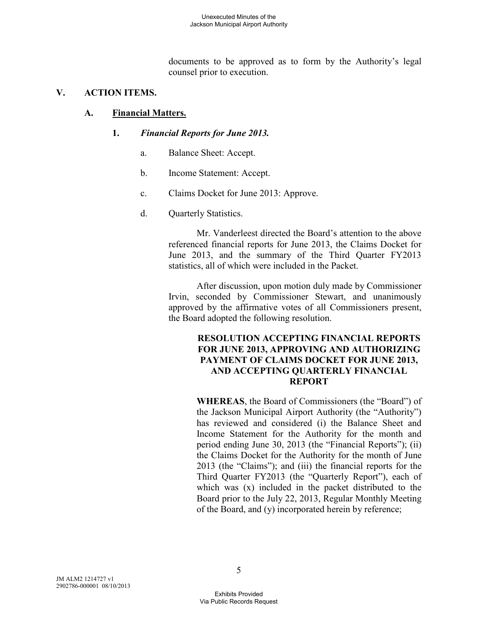documents to be approved as to form by the Authority's legal counsel prior to execution.

## **V. ACTION ITEMS.**

## **A. Financial Matters.**

## **1.** *Financial Reports for June 2013.*

- a. Balance Sheet: Accept.
- b. Income Statement: Accept.
- c. Claims Docket for June 2013: Approve.
- d. Quarterly Statistics.

Mr. Vanderleest directed the Board's attention to the above referenced financial reports for June 2013, the Claims Docket for June 2013, and the summary of the Third Quarter FY2013 statistics, all of which were included in the Packet.

After discussion, upon motion duly made by Commissioner Irvin, seconded by Commissioner Stewart, and unanimously approved by the affirmative votes of all Commissioners present, the Board adopted the following resolution.

#### **RESOLUTION ACCEPTING FINANCIAL REPORTS FOR JUNE 2013, APPROVING AND AUTHORIZING PAYMENT OF CLAIMS DOCKET FOR JUNE 2013, AND ACCEPTING QUARTERLY FINANCIAL REPORT**

**WHEREAS**, the Board of Commissioners (the "Board") of the Jackson Municipal Airport Authority (the "Authority") has reviewed and considered (i) the Balance Sheet and Income Statement for the Authority for the month and period ending June 30, 2013 (the "Financial Reports"); (ii) the Claims Docket for the Authority for the month of June 2013 (the "Claims"); and (iii) the financial reports for the Third Quarter FY2013 (the "Quarterly Report"), each of which was (x) included in the packet distributed to the Board prior to the July 22, 2013, Regular Monthly Meeting of the Board, and (y) incorporated herein by reference;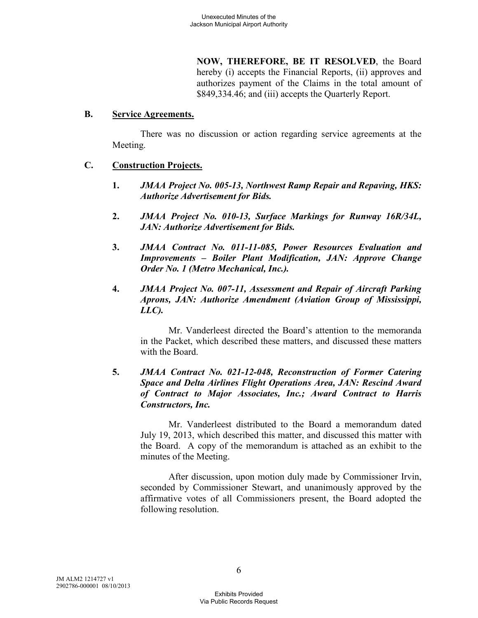**NOW, THEREFORE, BE IT RESOLVED**, the Board hereby (i) accepts the Financial Reports, (ii) approves and authorizes payment of the Claims in the total amount of \$849,334.46; and (iii) accepts the Quarterly Report.

#### **B. Service Agreements.**

There was no discussion or action regarding service agreements at the Meeting.

#### **C. Construction Projects.**

- **1.** *JMAA Project No. 005-13, Northwest Ramp Repair and Repaving, HKS: Authorize Advertisement for Bids.*
- **2.** *JMAA Project No. 010-13, Surface Markings for Runway 16R/34L, JAN: Authorize Advertisement for Bids.*
- **3.** *JMAA Contract No. 011-11-085, Power Resources Evaluation and Improvements – Boiler Plant Modification, JAN: Approve Change Order No. 1 (Metro Mechanical, Inc.).*
- **4.** *JMAA Project No. 007-11, Assessment and Repair of Aircraft Parking Aprons, JAN: Authorize Amendment (Aviation Group of Mississippi, LLC).*

Mr. Vanderleest directed the Board's attention to the memoranda in the Packet, which described these matters, and discussed these matters with the Board.

### **5.** *JMAA Contract No. 021-12-048, Reconstruction of Former Catering Space and Delta Airlines Flight Operations Area, JAN: Rescind Award of Contract to Major Associates, Inc.; Award Contract to Harris Constructors, Inc.*

Mr. Vanderleest distributed to the Board a memorandum dated July 19, 2013, which described this matter, and discussed this matter with the Board. A copy of the memorandum is attached as an exhibit to the minutes of the Meeting.

After discussion, upon motion duly made by Commissioner Irvin, seconded by Commissioner Stewart, and unanimously approved by the affirmative votes of all Commissioners present, the Board adopted the following resolution.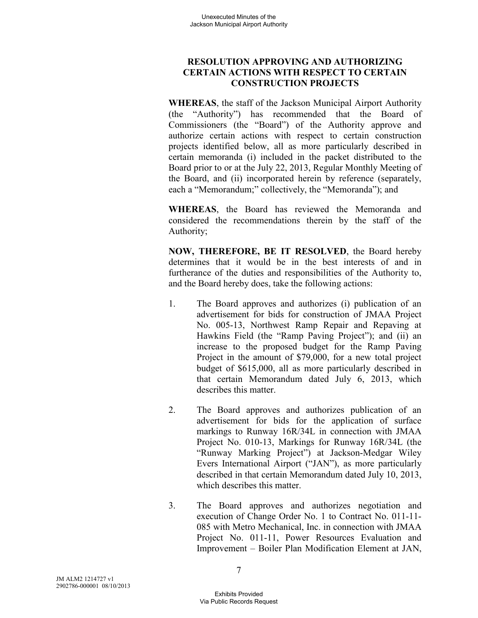## **RESOLUTION APPROVING AND AUTHORIZING CERTAIN ACTIONS WITH RESPECT TO CERTAIN CONSTRUCTION PROJECTS**

**WHEREAS**, the staff of the Jackson Municipal Airport Authority (the "Authority") has recommended that the Board of Commissioners (the "Board") of the Authority approve and authorize certain actions with respect to certain construction projects identified below, all as more particularly described in certain memoranda (i) included in the packet distributed to the Board prior to or at the July 22, 2013, Regular Monthly Meeting of the Board, and (ii) incorporated herein by reference (separately, each a "Memorandum;" collectively, the "Memoranda"); and

**WHEREAS**, the Board has reviewed the Memoranda and considered the recommendations therein by the staff of the Authority;

**NOW, THEREFORE, BE IT RESOLVED**, the Board hereby determines that it would be in the best interests of and in furtherance of the duties and responsibilities of the Authority to, and the Board hereby does, take the following actions:

- 1. The Board approves and authorizes (i) publication of an advertisement for bids for construction of JMAA Project No. 005-13, Northwest Ramp Repair and Repaving at Hawkins Field (the "Ramp Paving Project"); and (ii) an increase to the proposed budget for the Ramp Paving Project in the amount of \$79,000, for a new total project budget of \$615,000, all as more particularly described in that certain Memorandum dated July 6, 2013, which describes this matter.
- 2. The Board approves and authorizes publication of an advertisement for bids for the application of surface markings to Runway 16R/34L in connection with JMAA Project No. 010-13, Markings for Runway 16R/34L (the "Runway Marking Project") at Jackson-Medgar Wiley Evers International Airport ("JAN"), as more particularly described in that certain Memorandum dated July 10, 2013, which describes this matter.
- 3. The Board approves and authorizes negotiation and execution of Change Order No. 1 to Contract No. 011-11- 085 with Metro Mechanical, Inc. in connection with JMAA Project No. 011-11, Power Resources Evaluation and Improvement – Boiler Plan Modification Element at JAN,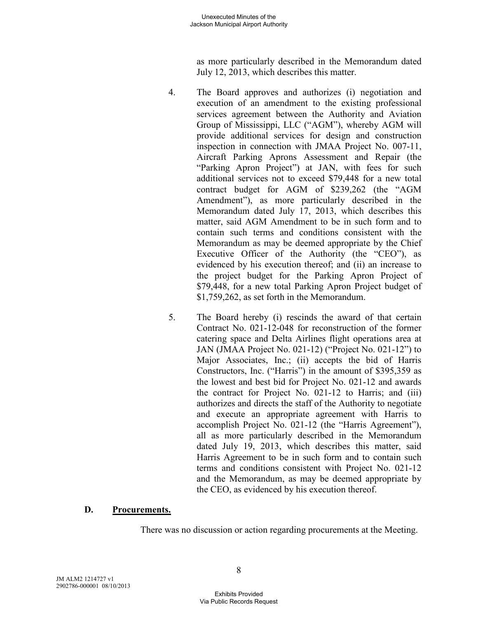as more particularly described in the Memorandum dated July 12, 2013, which describes this matter.

- 4. The Board approves and authorizes (i) negotiation and execution of an amendment to the existing professional services agreement between the Authority and Aviation Group of Mississippi, LLC ("AGM"), whereby AGM will provide additional services for design and construction inspection in connection with JMAA Project No. 007-11, Aircraft Parking Aprons Assessment and Repair (the "Parking Apron Project") at JAN, with fees for such additional services not to exceed \$79,448 for a new total contract budget for AGM of \$239,262 (the "AGM Amendment"), as more particularly described in the Memorandum dated July 17, 2013, which describes this matter, said AGM Amendment to be in such form and to contain such terms and conditions consistent with the Memorandum as may be deemed appropriate by the Chief Executive Officer of the Authority (the "CEO"), as evidenced by his execution thereof; and (ii) an increase to the project budget for the Parking Apron Project of \$79,448, for a new total Parking Apron Project budget of \$1,759,262, as set forth in the Memorandum.
- 5. The Board hereby (i) rescinds the award of that certain Contract No. 021-12-048 for reconstruction of the former catering space and Delta Airlines flight operations area at JAN (JMAA Project No. 021-12) ("Project No. 021-12") to Major Associates, Inc.; (ii) accepts the bid of Harris Constructors, Inc. ("Harris") in the amount of \$395,359 as the lowest and best bid for Project No. 021-12 and awards the contract for Project No. 021-12 to Harris; and (iii) authorizes and directs the staff of the Authority to negotiate and execute an appropriate agreement with Harris to accomplish Project No. 021-12 (the "Harris Agreement"), all as more particularly described in the Memorandum dated July 19, 2013, which describes this matter, said Harris Agreement to be in such form and to contain such terms and conditions consistent with Project No. 021-12 and the Memorandum, as may be deemed appropriate by the CEO, as evidenced by his execution thereof.

#### **D. Procurements.**

There was no discussion or action regarding procurements at the Meeting.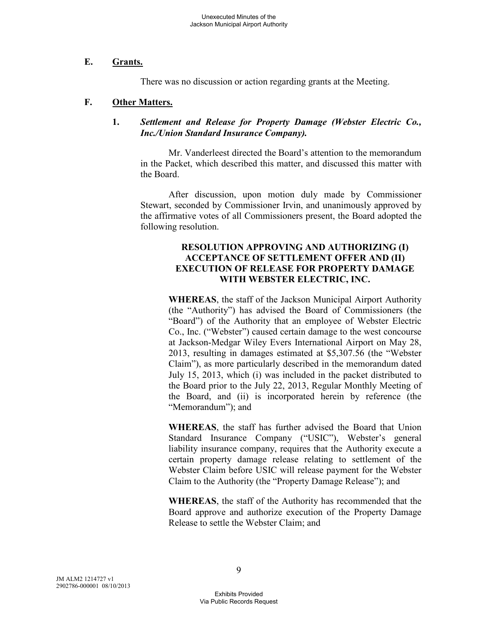#### **E. Grants.**

There was no discussion or action regarding grants at the Meeting.

#### **F. Other Matters.**

#### **1.** *Settlement and Release for Property Damage (Webster Electric Co., Inc./Union Standard Insurance Company).*

Mr. Vanderleest directed the Board's attention to the memorandum in the Packet, which described this matter, and discussed this matter with the Board.

After discussion, upon motion duly made by Commissioner Stewart, seconded by Commissioner Irvin, and unanimously approved by the affirmative votes of all Commissioners present, the Board adopted the following resolution.

### **RESOLUTION APPROVING AND AUTHORIZING (I) ACCEPTANCE OF SETTLEMENT OFFER AND (II) EXECUTION OF RELEASE FOR PROPERTY DAMAGE WITH WEBSTER ELECTRIC, INC.**

**WHEREAS**, the staff of the Jackson Municipal Airport Authority (the "Authority") has advised the Board of Commissioners (the "Board") of the Authority that an employee of Webster Electric Co., Inc. ("Webster") caused certain damage to the west concourse at Jackson-Medgar Wiley Evers International Airport on May 28, 2013, resulting in damages estimated at \$5,307.56 (the "Webster Claim"), as more particularly described in the memorandum dated July 15, 2013, which (i) was included in the packet distributed to the Board prior to the July 22, 2013, Regular Monthly Meeting of the Board, and (ii) is incorporated herein by reference (the "Memorandum"); and

**WHEREAS**, the staff has further advised the Board that Union Standard Insurance Company ("USIC"), Webster's general liability insurance company, requires that the Authority execute a certain property damage release relating to settlement of the Webster Claim before USIC will release payment for the Webster Claim to the Authority (the "Property Damage Release"); and

**WHEREAS**, the staff of the Authority has recommended that the Board approve and authorize execution of the Property Damage Release to settle the Webster Claim; and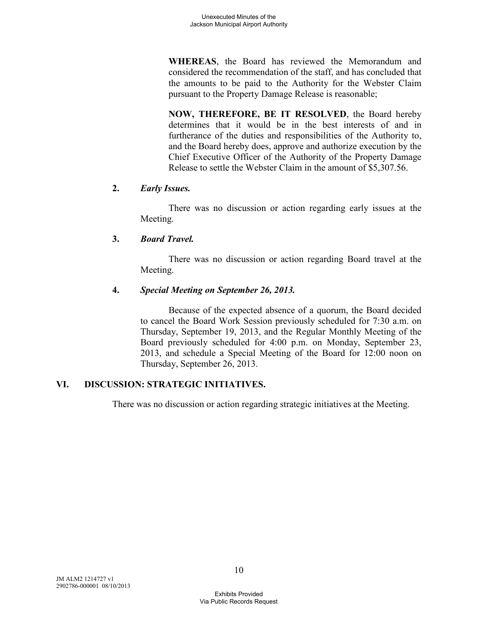**WHEREAS**, the Board has reviewed the Memorandum and considered the recommendation of the staff, and has concluded that the amounts to be paid to the Authority for the Webster Claim pursuant to the Property Damage Release is reasonable;

**NOW, THEREFORE, BE IT RESOLVED**, the Board hereby determines that it would be in the best interests of and in furtherance of the duties and responsibilities of the Authority to, and the Board hereby does, approve and authorize execution by the Chief Executive Officer of the Authority of the Property Damage Release to settle the Webster Claim in the amount of \$5,307.56.

## **2.** *Early Issues.*

There was no discussion or action regarding early issues at the Meeting.

# **3.** *Board Travel.*

There was no discussion or action regarding Board travel at the Meeting.

## **4.** *Special Meeting on September 26, 2013.*

Because of the expected absence of a quorum, the Board decided to cancel the Board Work Session previously scheduled for 7:30 a.m. on Thursday, September 19, 2013, and the Regular Monthly Meeting of the Board previously scheduled for 4:00 p.m. on Monday, September 23, 2013, and schedule a Special Meeting of the Board for 12:00 noon on Thursday, September 26, 2013.

# **VI. DISCUSSION: STRATEGIC INITIATIVES.**

There was no discussion or action regarding strategic initiatives at the Meeting.